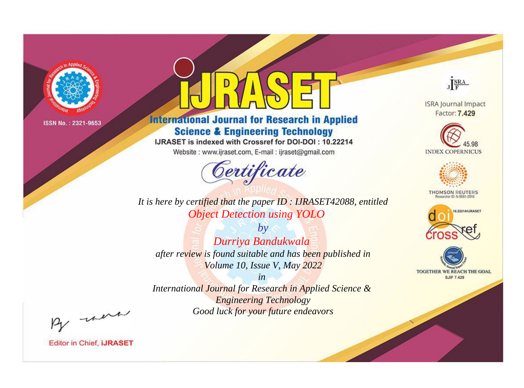

# **International Journal for Research in Applied Science & Engineering Technology**

IJRASET is indexed with Crossref for DOI-DOI: 10.22214

Website: www.ijraset.com, E-mail: ijraset@gmail.com



JERA

**ISRA Journal Impact** Factor: 7.429





**THOMSON REUTERS** 



TOGETHER WE REACH THE GOAL **SJIF 7.429** 

*It is here by certified that the paper ID : IJRASET42088, entitled Object Detection using YOLO*

*by Durriya Bandukwala after review is found suitable and has been published in Volume 10, Issue V, May 2022*

*in* 

*International Journal for Research in Applied Science & Engineering Technology Good luck for your future endeavors*

By morn

**Editor in Chief, IJRASET**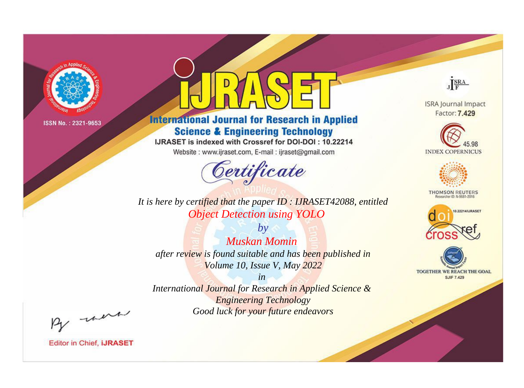

# **International Journal for Research in Applied Science & Engineering Technology**

IJRASET is indexed with Crossref for DOI-DOI: 10.22214

Website: www.ijraset.com, E-mail: ijraset@gmail.com



It is here by certified that the paper ID: IJRASET42088, entitled **Object Detection using YOLO** 

 $b\nu$ **Muskan Momin** after review is found suitable and has been published in Volume 10, Issue V, May 2022

 $in$ International Journal for Research in Applied Science & **Engineering Technology** Good luck for your future endeavors



**ISRA Journal Impact** Factor: 7.429





**THOMSON REUTERS** 



TOGETHER WE REACH THE GOAL **SJIF 7.429** 

By morn

**Editor in Chief, IJRASET**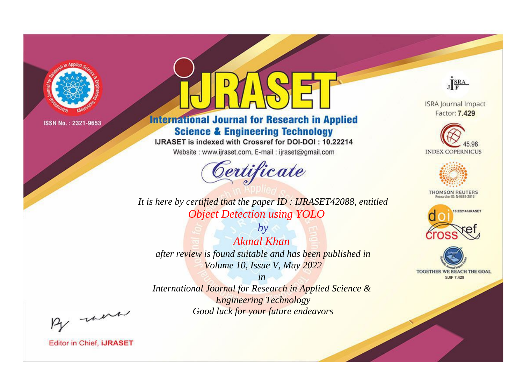

# **International Journal for Research in Applied Science & Engineering Technology**

IJRASET is indexed with Crossref for DOI-DOI: 10.22214

Website: www.ijraset.com, E-mail: ijraset@gmail.com



*It is here by certified that the paper ID : IJRASET42088, entitled Object Detection using YOLO*

*by Akmal Khan after review is found suitable and has been published in Volume 10, Issue V, May 2022*

*International Journal for Research in Applied Science & Engineering Technology Good luck for your future endeavors*



**Editor in Chief, IJRASET** 

**ISRA Journal Impact** Factor: 7.429

JERA





**THOMSON REUTERS** 



TOGETHER WE REACH THE GOAL **SJIF 7.429** 

*in*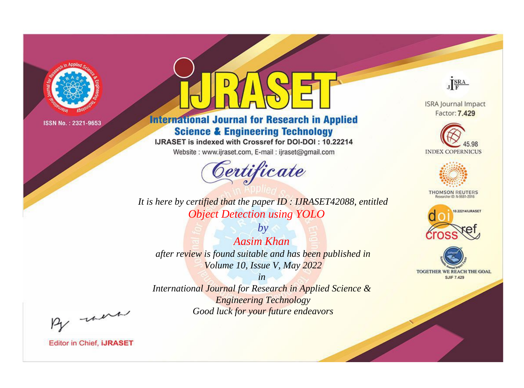

# **International Journal for Research in Applied Science & Engineering Technology**

IJRASET is indexed with Crossref for DOI-DOI: 10.22214

Website: www.ijraset.com, E-mail: ijraset@gmail.com



*It is here by certified that the paper ID : IJRASET42088, entitled Object Detection using YOLO*

*by Aasim Khan after review is found suitable and has been published in Volume 10, Issue V, May 2022*

*in International Journal for Research in Applied Science & Engineering Technology Good luck for your future endeavors*



**Editor in Chief, IJRASET** 

**ISRA Journal Impact** Factor: 7.429

JERA





**THOMSON REUTERS** 



TOGETHER WE REACH THE GOAL **SJIF 7.429**